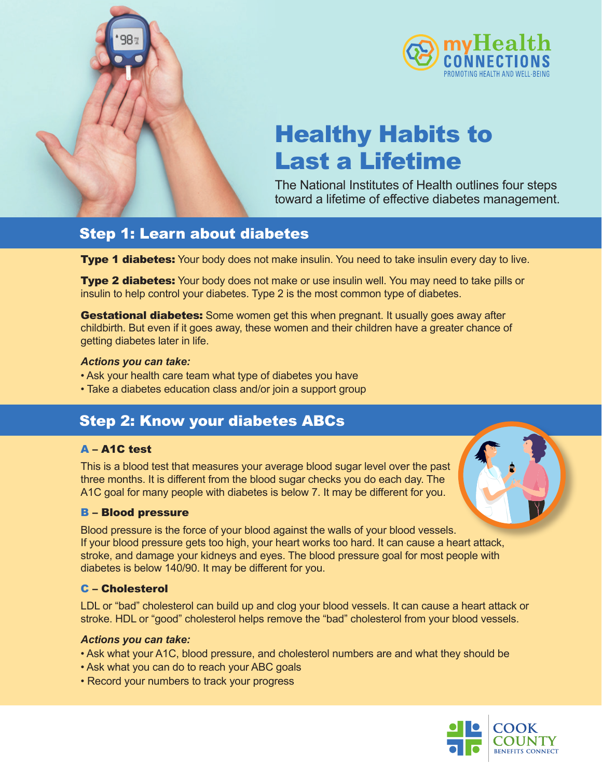



# Healthy Habits to Last a Lifetime

The National Institutes of Health outlines four steps toward a lifetime of effective diabetes management.

### Step 1: Learn about diabetes

Type 1 diabetes: Your body does not make insulin. You need to take insulin every day to live.

Type 2 diabetes: Your body does not make or use insulin well. You may need to take pills or insulin to help control your diabetes. Type 2 is the most common type of diabetes.

**Gestational diabetes:** Some women get this when pregnant. It usually goes away after childbirth. But even if it goes away, these women and their children have a greater chance of getting diabetes later in life.

#### *Actions you can take:*

- Ask your health care team what type of diabetes you have
- Take a diabetes education class and/or join a support group

### Step 2: Know your diabetes ABCs

### A – A1C test

This is a blood test that measures your average blood sugar level over the past three months. It is different from the blood sugar checks you do each day. The A1C goal for many people with diabetes is below 7. It may be different for you.

### B – Blood pressure

Blood pressure is the force of your blood against the walls of your blood vessels. If your blood pressure gets too high, your heart works too hard. It can cause a heart attack, stroke, and damage your kidneys and eyes. The blood pressure goal for most people with diabetes is below 140/90. It may be different for you.

### C – Cholesterol

LDL or "bad" cholesterol can build up and clog your blood vessels. It can cause a heart attack or stroke. HDL or "good" cholesterol helps remove the "bad" cholesterol from your blood vessels.

### *Actions you can take:*

- Ask what your A1C, blood pressure, and cholesterol numbers are and what they should be
- Ask what you can do to reach your ABC goals
- Record your numbers to track your progress

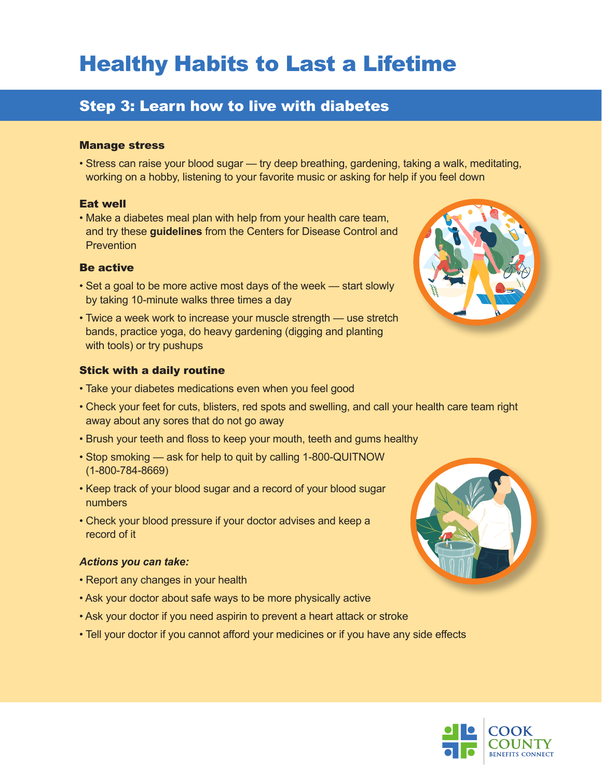# Healthy Habits to Last a Lifetime

# Step 3: Learn how to live with diabetes

#### Manage stress

• Stress can raise your blood sugar — try deep breathing, gardening, taking a walk, meditating, working on a hobby, listening to your favorite music or asking for help if you feel down

### Eat well

• Make a diabetes meal plan with help from your health care team, and try these **[guidelines](https://www.cdc.gov/diabetes/managing/eat-well/meal-plan-method.html)** from the Centers for Disease Control and **Prevention** 

#### Be active

- Set a goal to be more active most days of the week start slowly by taking 10-minute walks three times a day
- Twice a week work to increase your muscle strength use stretch bands, practice yoga, do heavy gardening (digging and planting with tools) or try pushups

#### Stick with a daily routine

- Take your diabetes medications even when you feel good
- Check your feet for cuts, blisters, red spots and swelling, and call your health care team right away about any sores that do not go away
- Brush your teeth and floss to keep your mouth, teeth and gums healthy
- Stop smoking ask for help to quit by calling 1-800-QUITNOW (1-800-784-8669)
- Keep track of your blood sugar and a record of your blood sugar numbers
- Check your blood pressure if your doctor advises and keep a record of it

#### *Actions you can take:*

- Report any changes in your health
- Ask your doctor about safe ways to be more physically active
- Ask your doctor if you need aspirin to prevent a heart attack or stroke
- Tell your doctor if you cannot afford your medicines or if you have any side effects